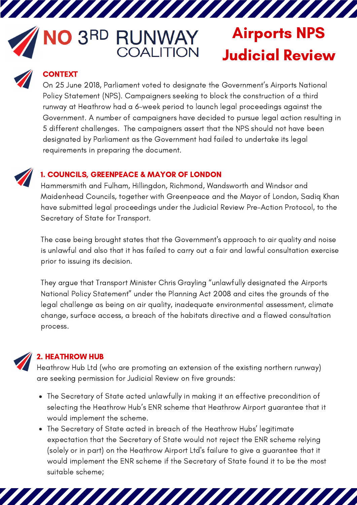# **VO 3RD RUNWAY**<br>COALITION

/////////

# Airports NPS Judicial Review



# **CONTEXT**

On 25 June 2018, Parliament voted to designate the Government's Airports National Policy Statement (NPS). Campaigners seeking to block the construction of a third runway at Heathrow had a 6-week period to launch legal proceedings against the Government. A number of campaigners have decided to pursue legal action resulting in 5 different challenges. The campaigners assert that the NPS should not have been designated by Parliament as the Government had failed to undertake its legal requirements in preparing the document.



## 1. COUNCILS, GREENPEACE & MAYOR OF LONDON

Hammersmith and Fulham, Hillingdon, Richmond, Wandsworth and Windsor and Maidenhead Councils, together with Greenpeace and the Mayor of London, Sadiq Khan have submitted legal proceedings under the Judicial Review Pre-Action Protocol, to the Secretary of State for Transport.

The case being brought states that the Government's approach to air quality and noise is unlawful and also that it has failed to carry out a fair and lawful consultation exercise prior to issuing its decision.

They argue that Transport Minister Chris Grayling "unlawfully designated the Airports National Policy Statement" under the Planning Act 2008 and cites the grounds of the legal challenge as being on air quality, inadequate environmental assessment, climate change, surface access, a breach of the habitats directive and a flawed consultation process.



# 2. HEATHROW HUB

Heathrow Hub Ltd (who are promoting an extension of the existing northern runway) are seeking permission for Judicial Review on five grounds:

- The Secretary of State acted unlawfully in making it an effective precondition of selecting the Heathrow Hub's ENR scheme that Heathrow Airport guarantee that it would implement the scheme.
- The Secretary of State acted in breach of the Heathrow Hubs' legitimate expectation that the Secretary of State would not reject the ENR scheme relying (solely or in part) on the Heathrow Airport Ltd's failure to give a guarantee that it would implement the ENR scheme if the Secretary of State found it to be the most suitable scheme;